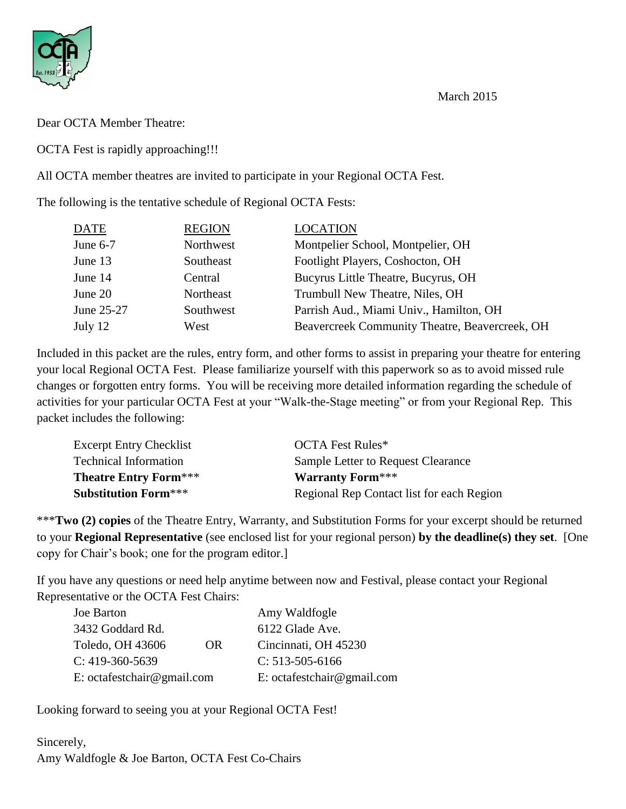March 2015



Dear OCTA Member Theatre:

OCTA Fest is rapidly approaching!!!

All OCTA member theatres are invited to participate in your Regional OCTA Fest.

The following is the tentative schedule of Regional OCTA Fests:

| <b>DATE</b> | <b>REGION</b> | <b>LOCATION</b>                                |
|-------------|---------------|------------------------------------------------|
| June $6-7$  | Northwest     | Montpelier School, Montpelier, OH              |
| June 13     | Southeast     | Footlight Players, Coshocton, OH               |
| June 14     | Central       | Bucyrus Little Theatre, Bucyrus, OH            |
| June 20     | Northeast     | Trumbull New Theatre, Niles, OH                |
| June 25-27  | Southwest     | Parrish Aud., Miami Univ., Hamilton, OH        |
| July 12     | West          | Beavercreek Community Theatre, Beavercreek, OH |

Included in this packet are the rules, entry form, and other forms to assist in preparing your theatre for entering your local Regional OCTA Fest. Please familiarize yourself with this paperwork so as to avoid missed rule changes or forgotten entry forms. You will be receiving more detailed information regarding the schedule of activities for your particular OCTA Fest at your "Walk-the-Stage meeting" or from your Regional Rep. This packet includes the following:

| <b>Excerpt Entry Checklist</b> | <b>OCTA Fest Rules*</b>                   |
|--------------------------------|-------------------------------------------|
| <b>Technical Information</b>   | Sample Letter to Request Clearance        |
| <b>Theatre Entry Form***</b>   | <b>Warranty Form***</b>                   |
| <b>Substitution Form***</b>    | Regional Rep Contact list for each Region |

\*\*\***Two (2) copies** of the Theatre Entry, Warranty, and Substitution Forms for your excerpt should be returned to your **Regional Representative** (see enclosed list for your regional person) **by the deadline(s) they set**. [One copy for Chair's book; one for the program editor.]

If you have any questions or need help anytime between now and Festival, please contact your Regional Representative or the OCTA Fest Chairs:

| Joe Barton                 |     | Amy Waldfogle              |
|----------------------------|-----|----------------------------|
| 3432 Goddard Rd.           |     | 6122 Glade Ave.            |
| Toledo, OH 43606           | OR. | Cincinnati, OH 45230       |
| $C: 419-360-5639$          |     | $C: 513-505-6166$          |
| E: octafestchair@gmail.com |     | E: octafestchair@gmail.com |

Looking forward to seeing you at your Regional OCTA Fest!

Sincerely, Amy Waldfogle & Joe Barton, OCTA Fest Co-Chairs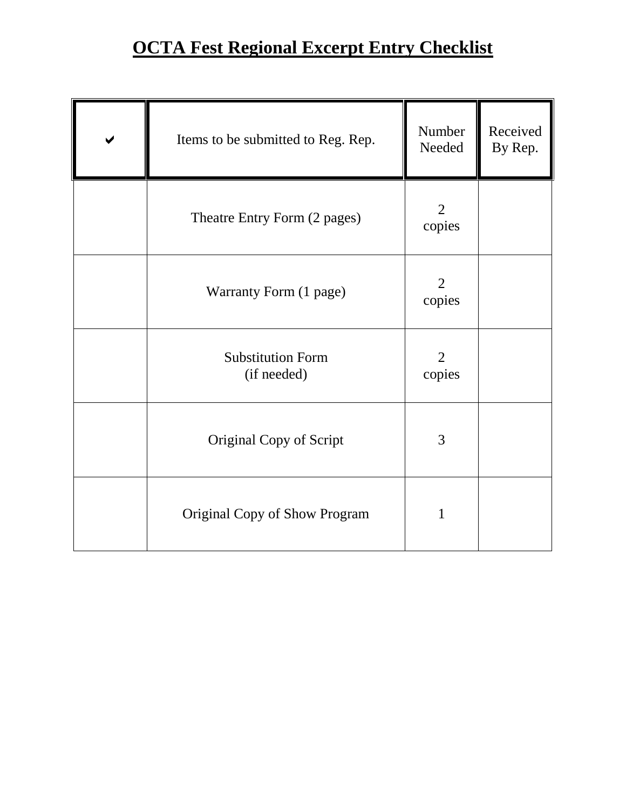# **OCTA Fest Regional Excerpt Entry Checklist**

| Items to be submitted to Reg. Rep.      | Number<br>Needed         | Received<br>By Rep. |
|-----------------------------------------|--------------------------|---------------------|
| Theatre Entry Form (2 pages)            | $\overline{2}$<br>copies |                     |
| Warranty Form (1 page)                  | 2<br>copies              |                     |
| <b>Substitution Form</b><br>(if needed) | $\overline{2}$<br>copies |                     |
| Original Copy of Script                 | 3                        |                     |
| Original Copy of Show Program           | 1                        |                     |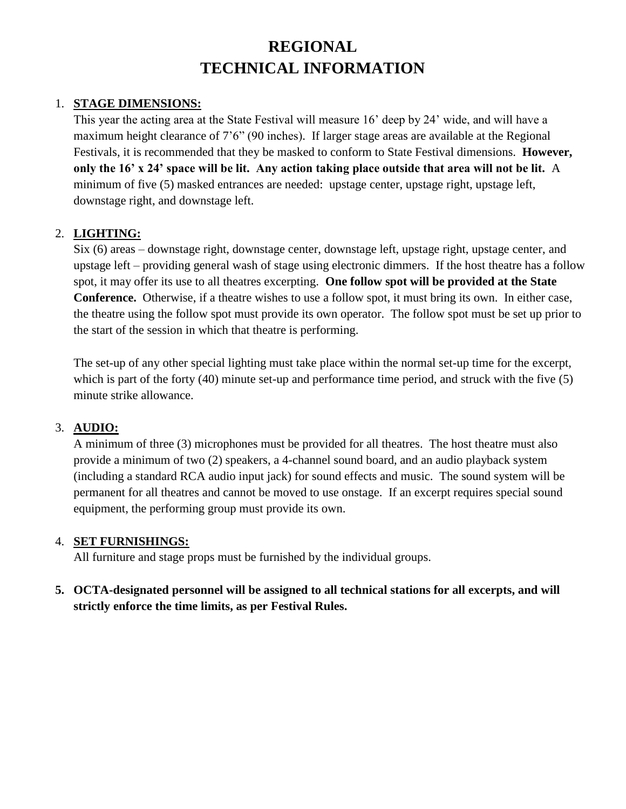## **REGIONAL TECHNICAL INFORMATION**

#### 1. **STAGE DIMENSIONS:**

This year the acting area at the State Festival will measure 16' deep by 24' wide, and will have a maximum height clearance of 7'6" (90 inches). If larger stage areas are available at the Regional Festivals, it is recommended that they be masked to conform to State Festival dimensions. **However, only the 16' x 24' space will be lit. Any action taking place outside that area will not be lit.** A minimum of five (5) masked entrances are needed: upstage center, upstage right, upstage left, downstage right, and downstage left.

#### 2. **LIGHTING:**

Six (6) areas – downstage right, downstage center, downstage left, upstage right, upstage center, and upstage left – providing general wash of stage using electronic dimmers. If the host theatre has a follow spot, it may offer its use to all theatres excerpting. **One follow spot will be provided at the State Conference.** Otherwise, if a theatre wishes to use a follow spot, it must bring its own. In either case, the theatre using the follow spot must provide its own operator. The follow spot must be set up prior to the start of the session in which that theatre is performing.

The set-up of any other special lighting must take place within the normal set-up time for the excerpt, which is part of the forty (40) minute set-up and performance time period, and struck with the five (5) minute strike allowance.

#### 3. **AUDIO:**

A minimum of three (3) microphones must be provided for all theatres. The host theatre must also provide a minimum of two (2) speakers, a 4-channel sound board, and an audio playback system (including a standard RCA audio input jack) for sound effects and music. The sound system will be permanent for all theatres and cannot be moved to use onstage. If an excerpt requires special sound equipment, the performing group must provide its own.

#### 4. **SET FURNISHINGS:**

All furniture and stage props must be furnished by the individual groups.

#### **5. OCTA-designated personnel will be assigned to all technical stations for all excerpts, and will strictly enforce the time limits, as per Festival Rules.**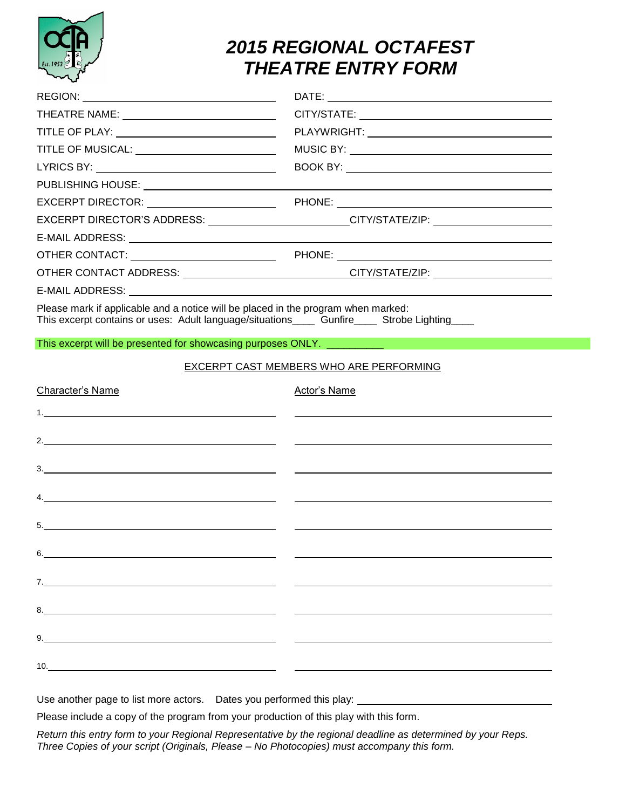

# *2015 REGIONAL OCTAFEST THEATRE ENTRY FORM*

| THEATRE NAME: ________________________________                                                                                                                                                                                                                                                                        |                                                                                                                       |
|-----------------------------------------------------------------------------------------------------------------------------------------------------------------------------------------------------------------------------------------------------------------------------------------------------------------------|-----------------------------------------------------------------------------------------------------------------------|
|                                                                                                                                                                                                                                                                                                                       |                                                                                                                       |
|                                                                                                                                                                                                                                                                                                                       |                                                                                                                       |
| LYRICS BY: __________________________________                                                                                                                                                                                                                                                                         |                                                                                                                       |
|                                                                                                                                                                                                                                                                                                                       |                                                                                                                       |
| EXCERPT DIRECTOR: <u>_________________________</u>                                                                                                                                                                                                                                                                    |                                                                                                                       |
|                                                                                                                                                                                                                                                                                                                       | EXCERPT DIRECTOR'S ADDRESS: ________________________CITY/STATE/ZIP: ____________                                      |
|                                                                                                                                                                                                                                                                                                                       |                                                                                                                       |
|                                                                                                                                                                                                                                                                                                                       |                                                                                                                       |
|                                                                                                                                                                                                                                                                                                                       | OTHER CONTACT ADDRESS: ____________________________CITY/STATE/ZIP: _____________                                      |
|                                                                                                                                                                                                                                                                                                                       |                                                                                                                       |
| Please mark if applicable and a notice will be placed in the program when marked:<br>This excerpt contains or uses: Adult language/situations_______ Gunfire______ Strobe Lighting_____                                                                                                                               |                                                                                                                       |
| This excerpt will be presented for showcasing purposes ONLY. __________                                                                                                                                                                                                                                               |                                                                                                                       |
|                                                                                                                                                                                                                                                                                                                       | EXCERPT CAST MEMBERS WHO ARE PERFORMING                                                                               |
| Character's Name                                                                                                                                                                                                                                                                                                      | <b>Actor's Name</b>                                                                                                   |
|                                                                                                                                                                                                                                                                                                                       | <u>and the state of the state of the state of the state of the state of the state of the state of the state of th</u> |
|                                                                                                                                                                                                                                                                                                                       |                                                                                                                       |
|                                                                                                                                                                                                                                                                                                                       |                                                                                                                       |
|                                                                                                                                                                                                                                                                                                                       |                                                                                                                       |
| <u> 1989 - Johann Barn, mars ann an t-Amhain Aonaich an t-Aonaich an t-Aonaich ann an t-Aonaich ann an t-Aonaich</u>                                                                                                                                                                                                  |                                                                                                                       |
|                                                                                                                                                                                                                                                                                                                       |                                                                                                                       |
| 6.<br><u> 1989 - Johann Barn, mars ann an t-Amhain Aonaich an t-Aonaich an t-Aonaich ann an t-Aonaich ann an t-Aonaich</u>                                                                                                                                                                                            |                                                                                                                       |
|                                                                                                                                                                                                                                                                                                                       |                                                                                                                       |
|                                                                                                                                                                                                                                                                                                                       |                                                                                                                       |
|                                                                                                                                                                                                                                                                                                                       |                                                                                                                       |
| $10.$ $\frac{1}{2}$ $\frac{1}{2}$ $\frac{1}{2}$ $\frac{1}{2}$ $\frac{1}{2}$ $\frac{1}{2}$ $\frac{1}{2}$ $\frac{1}{2}$ $\frac{1}{2}$ $\frac{1}{2}$ $\frac{1}{2}$ $\frac{1}{2}$ $\frac{1}{2}$ $\frac{1}{2}$ $\frac{1}{2}$ $\frac{1}{2}$ $\frac{1}{2}$ $\frac{1}{2}$ $\frac{1}{2}$ $\frac{1}{2}$ $\frac{1}{2}$ $\frac{1$ |                                                                                                                       |
|                                                                                                                                                                                                                                                                                                                       | Use another page to list more actors.  Dates you performed this play: ______________________________                  |

Please include a copy of the program from your production of this play with this form.

*Return this entry form to your Regional Representative by the regional deadline as determined by your Reps. Three Copies of your script (Originals, Please – No Photocopies) must accompany this form.*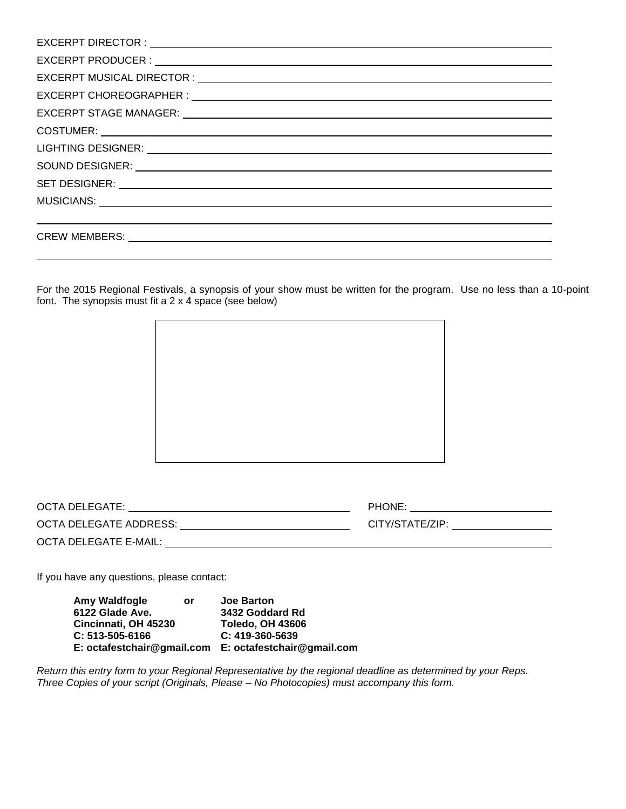| SET DESIGNER: WE ARRIVE TO A SERVICE THE SERVICE OF THE SERVICE OF THE SERVICE OF THE SERVICE OF THE SERVICE OF THE SERVICE OF THE SERVICE OF THE SERVICE OF THE SERVICE OF THE SERVICE OF THE SERVICE OF THE SERVICE OF THE S |
|--------------------------------------------------------------------------------------------------------------------------------------------------------------------------------------------------------------------------------|
|                                                                                                                                                                                                                                |
|                                                                                                                                                                                                                                |
|                                                                                                                                                                                                                                |

For the 2015 Regional Festivals, a synopsis of your show must be written for the program. Use no less than a 10-point font. The synopsis must fit a 2 x 4 space (see below)



| OCTA DELEGATE:         | PHONE:          |
|------------------------|-----------------|
| OCTA DELEGATE ADDRESS: | CITY/STATE/ZIP: |
| OCTA DELEGATE E-MAIL:  |                 |

If you have any questions, please contact:

**Amy Waldfogle or Joe Barton 6122 Glade Ave. 3432 Goddard Rd Cincinnati, OH 45230 C: 513-505-6166 C: 419-360-5639 E: octafestchair@gmail.com E: octafestchair@gmail.com**

*Return this entry form to your Regional Representative by the regional deadline as determined by your Reps. Three Copies of your script (Originals, Please – No Photocopies) must accompany this form.*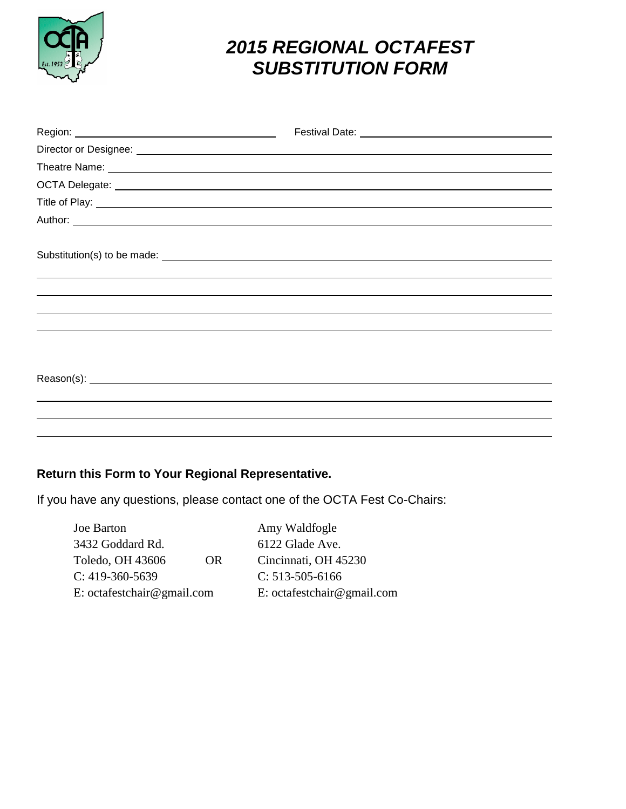

# *2015 REGIONAL OCTAFEST SUBSTITUTION FORM*

| Substitution(s) to be made: |  |
|-----------------------------|--|
|                             |  |
|                             |  |
|                             |  |
|                             |  |
|                             |  |
|                             |  |
|                             |  |
|                             |  |
|                             |  |
|                             |  |

### **Return this Form to Your Regional Representative.**

If you have any questions, please contact one of the OCTA Fest Co-Chairs:

| Joe Barton                 |     | Amy Waldfogle              |
|----------------------------|-----|----------------------------|
| 3432 Goddard Rd.           |     | 6122 Glade Ave.            |
| Toledo, OH 43606           | OR. | Cincinnati, OH 45230       |
| $C: 419-360-5639$          |     | $C: 513-505-6166$          |
| E: octafestchair@gmail.com |     | E: octafestchair@gmail.com |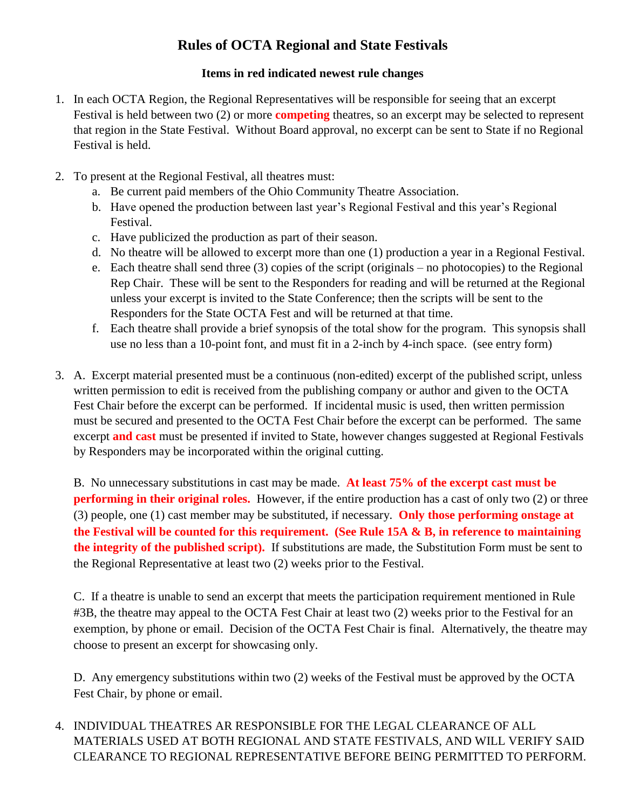### **Rules of OCTA Regional and State Festivals**

#### **Items in red indicated newest rule changes**

- 1. In each OCTA Region, the Regional Representatives will be responsible for seeing that an excerpt Festival is held between two (2) or more **competing** theatres, so an excerpt may be selected to represent that region in the State Festival. Without Board approval, no excerpt can be sent to State if no Regional Festival is held.
- 2. To present at the Regional Festival, all theatres must:
	- a. Be current paid members of the Ohio Community Theatre Association.
	- b. Have opened the production between last year's Regional Festival and this year's Regional Festival.
	- c. Have publicized the production as part of their season.
	- d. No theatre will be allowed to excerpt more than one (1) production a year in a Regional Festival.
	- e. Each theatre shall send three (3) copies of the script (originals no photocopies) to the Regional Rep Chair. These will be sent to the Responders for reading and will be returned at the Regional unless your excerpt is invited to the State Conference; then the scripts will be sent to the Responders for the State OCTA Fest and will be returned at that time.
	- f. Each theatre shall provide a brief synopsis of the total show for the program. This synopsis shall use no less than a 10-point font, and must fit in a 2-inch by 4-inch space. (see entry form)
- 3. A. Excerpt material presented must be a continuous (non-edited) excerpt of the published script, unless written permission to edit is received from the publishing company or author and given to the OCTA Fest Chair before the excerpt can be performed. If incidental music is used, then written permission must be secured and presented to the OCTA Fest Chair before the excerpt can be performed. The same excerpt **and cast** must be presented if invited to State, however changes suggested at Regional Festivals by Responders may be incorporated within the original cutting.

B. No unnecessary substitutions in cast may be made. **At least 75% of the excerpt cast must be performing in their original roles.** However, if the entire production has a cast of only two (2) or three (3) people, one (1) cast member may be substituted, if necessary. **Only those performing onstage at the Festival will be counted for this requirement. (See Rule 15A & B, in reference to maintaining the integrity of the published script).** If substitutions are made, the Substitution Form must be sent to the Regional Representative at least two (2) weeks prior to the Festival.

C. If a theatre is unable to send an excerpt that meets the participation requirement mentioned in Rule #3B, the theatre may appeal to the OCTA Fest Chair at least two (2) weeks prior to the Festival for an exemption, by phone or email. Decision of the OCTA Fest Chair is final. Alternatively, the theatre may choose to present an excerpt for showcasing only.

D. Any emergency substitutions within two (2) weeks of the Festival must be approved by the OCTA Fest Chair, by phone or email.

4. INDIVIDUAL THEATRES AR RESPONSIBLE FOR THE LEGAL CLEARANCE OF ALL MATERIALS USED AT BOTH REGIONAL AND STATE FESTIVALS, AND WILL VERIFY SAID CLEARANCE TO REGIONAL REPRESENTATIVE BEFORE BEING PERMITTED TO PERFORM.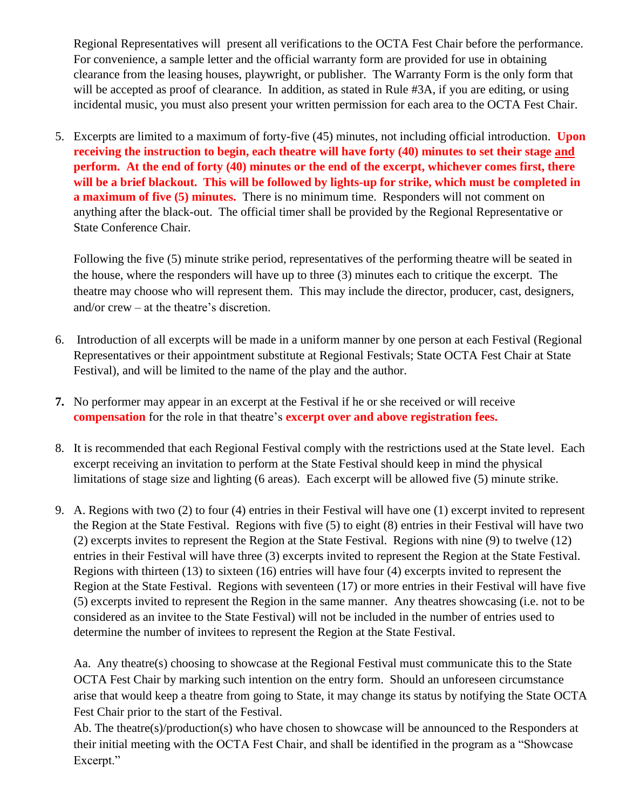Regional Representatives will present all verifications to the OCTA Fest Chair before the performance. For convenience, a sample letter and the official warranty form are provided for use in obtaining clearance from the leasing houses, playwright, or publisher. The Warranty Form is the only form that will be accepted as proof of clearance. In addition, as stated in Rule #3A, if you are editing, or using incidental music, you must also present your written permission for each area to the OCTA Fest Chair.

5. Excerpts are limited to a maximum of forty-five (45) minutes, not including official introduction. **Upon receiving the instruction to begin, each theatre will have forty (40) minutes to set their stage and perform. At the end of forty (40) minutes or the end of the excerpt, whichever comes first, there will be a brief blackout. This will be followed by lights-up for strike, which must be completed in a maximum of five (5) minutes.** There is no minimum time. Responders will not comment on anything after the black-out. The official timer shall be provided by the Regional Representative or State Conference Chair.

Following the five (5) minute strike period, representatives of the performing theatre will be seated in the house, where the responders will have up to three (3) minutes each to critique the excerpt. The theatre may choose who will represent them. This may include the director, producer, cast, designers, and/or crew – at the theatre's discretion.

- 6. Introduction of all excerpts will be made in a uniform manner by one person at each Festival (Regional Representatives or their appointment substitute at Regional Festivals; State OCTA Fest Chair at State Festival), and will be limited to the name of the play and the author.
- **7.** No performer may appear in an excerpt at the Festival if he or she received or will receive **compensation** for the role in that theatre's **excerpt over and above registration fees.**
- 8. It is recommended that each Regional Festival comply with the restrictions used at the State level. Each excerpt receiving an invitation to perform at the State Festival should keep in mind the physical limitations of stage size and lighting (6 areas). Each excerpt will be allowed five (5) minute strike.
- 9. A. Regions with two (2) to four (4) entries in their Festival will have one (1) excerpt invited to represent the Region at the State Festival. Regions with five (5) to eight (8) entries in their Festival will have two (2) excerpts invites to represent the Region at the State Festival. Regions with nine (9) to twelve (12) entries in their Festival will have three (3) excerpts invited to represent the Region at the State Festival. Regions with thirteen (13) to sixteen (16) entries will have four (4) excerpts invited to represent the Region at the State Festival. Regions with seventeen (17) or more entries in their Festival will have five (5) excerpts invited to represent the Region in the same manner. Any theatres showcasing (i.e. not to be considered as an invitee to the State Festival) will not be included in the number of entries used to determine the number of invitees to represent the Region at the State Festival.

Aa. Any theatre(s) choosing to showcase at the Regional Festival must communicate this to the State OCTA Fest Chair by marking such intention on the entry form. Should an unforeseen circumstance arise that would keep a theatre from going to State, it may change its status by notifying the State OCTA Fest Chair prior to the start of the Festival.

Ab. The theatre(s)/production(s) who have chosen to showcase will be announced to the Responders at their initial meeting with the OCTA Fest Chair, and shall be identified in the program as a "Showcase Excerpt."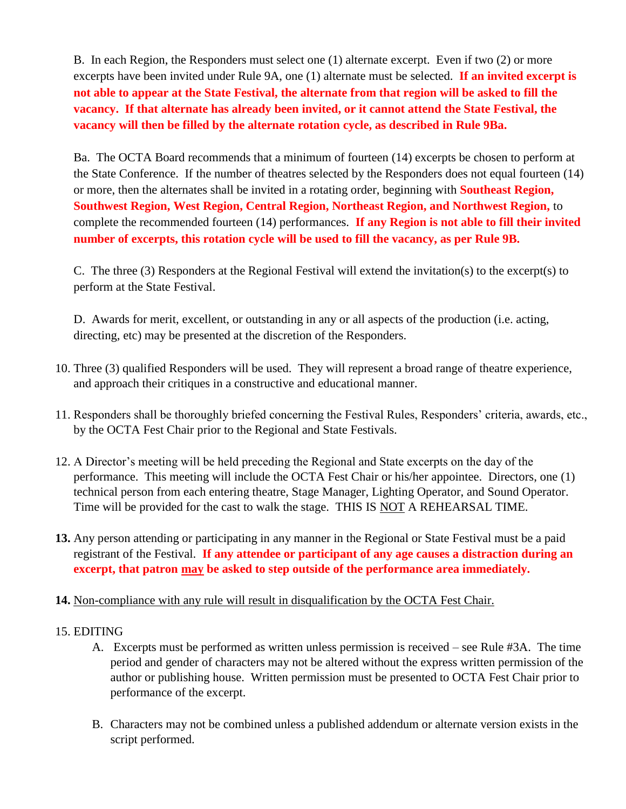B. In each Region, the Responders must select one (1) alternate excerpt. Even if two (2) or more excerpts have been invited under Rule 9A, one (1) alternate must be selected. **If an invited excerpt is not able to appear at the State Festival, the alternate from that region will be asked to fill the vacancy. If that alternate has already been invited, or it cannot attend the State Festival, the vacancy will then be filled by the alternate rotation cycle, as described in Rule 9Ba.**

Ba. The OCTA Board recommends that a minimum of fourteen (14) excerpts be chosen to perform at the State Conference. If the number of theatres selected by the Responders does not equal fourteen (14) or more, then the alternates shall be invited in a rotating order, beginning with **Southeast Region, Southwest Region, West Region, Central Region, Northeast Region, and Northwest Region,** to complete the recommended fourteen (14) performances. **If any Region is not able to fill their invited number of excerpts, this rotation cycle will be used to fill the vacancy, as per Rule 9B.**

C. The three (3) Responders at the Regional Festival will extend the invitation(s) to the excerpt(s) to perform at the State Festival.

D. Awards for merit, excellent, or outstanding in any or all aspects of the production (i.e. acting, directing, etc) may be presented at the discretion of the Responders.

- 10. Three (3) qualified Responders will be used. They will represent a broad range of theatre experience, and approach their critiques in a constructive and educational manner.
- 11. Responders shall be thoroughly briefed concerning the Festival Rules, Responders' criteria, awards, etc., by the OCTA Fest Chair prior to the Regional and State Festivals.
- 12. A Director's meeting will be held preceding the Regional and State excerpts on the day of the performance. This meeting will include the OCTA Fest Chair or his/her appointee. Directors, one (1) technical person from each entering theatre, Stage Manager, Lighting Operator, and Sound Operator. Time will be provided for the cast to walk the stage. THIS IS NOT A REHEARSAL TIME.
- **13.** Any person attending or participating in any manner in the Regional or State Festival must be a paid registrant of the Festival. **If any attendee or participant of any age causes a distraction during an excerpt, that patron may be asked to step outside of the performance area immediately.**

#### **14.** Non-compliance with any rule will result in disqualification by the OCTA Fest Chair.

#### 15. EDITING

- A. Excerpts must be performed as written unless permission is received see Rule #3A. The time period and gender of characters may not be altered without the express written permission of the author or publishing house. Written permission must be presented to OCTA Fest Chair prior to performance of the excerpt.
- B. Characters may not be combined unless a published addendum or alternate version exists in the script performed.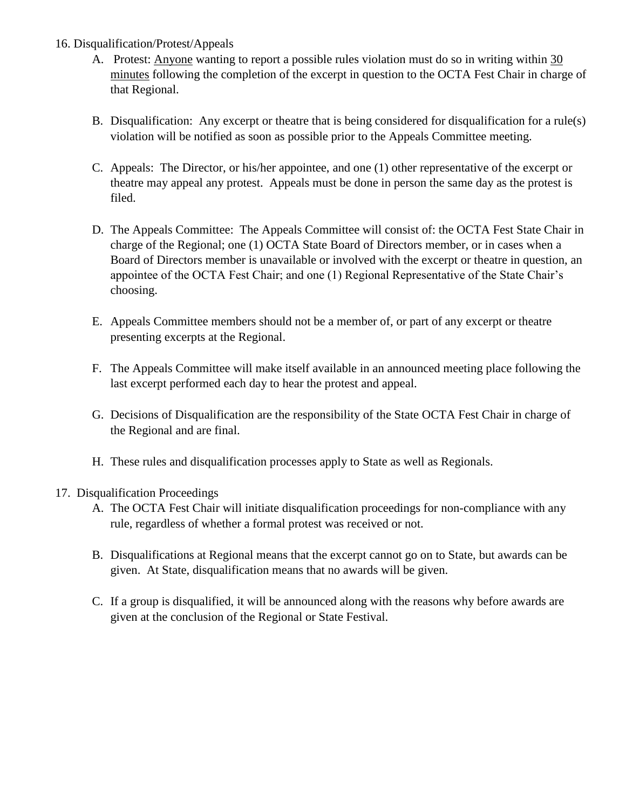- 16. Disqualification/Protest/Appeals
	- A. Protest: Anyone wanting to report a possible rules violation must do so in writing within 30 minutes following the completion of the excerpt in question to the OCTA Fest Chair in charge of that Regional.
	- B. Disqualification: Any excerpt or theatre that is being considered for disqualification for a rule(s) violation will be notified as soon as possible prior to the Appeals Committee meeting.
	- C. Appeals: The Director, or his/her appointee, and one (1) other representative of the excerpt or theatre may appeal any protest. Appeals must be done in person the same day as the protest is filed.
	- D. The Appeals Committee: The Appeals Committee will consist of: the OCTA Fest State Chair in charge of the Regional; one (1) OCTA State Board of Directors member, or in cases when a Board of Directors member is unavailable or involved with the excerpt or theatre in question, an appointee of the OCTA Fest Chair; and one (1) Regional Representative of the State Chair's choosing.
	- E. Appeals Committee members should not be a member of, or part of any excerpt or theatre presenting excerpts at the Regional.
	- F. The Appeals Committee will make itself available in an announced meeting place following the last excerpt performed each day to hear the protest and appeal.
	- G. Decisions of Disqualification are the responsibility of the State OCTA Fest Chair in charge of the Regional and are final.
	- H. These rules and disqualification processes apply to State as well as Regionals.

#### 17. Disqualification Proceedings

- A. The OCTA Fest Chair will initiate disqualification proceedings for non-compliance with any rule, regardless of whether a formal protest was received or not.
- B. Disqualifications at Regional means that the excerpt cannot go on to State, but awards can be given. At State, disqualification means that no awards will be given.
- C. If a group is disqualified, it will be announced along with the reasons why before awards are given at the conclusion of the Regional or State Festival.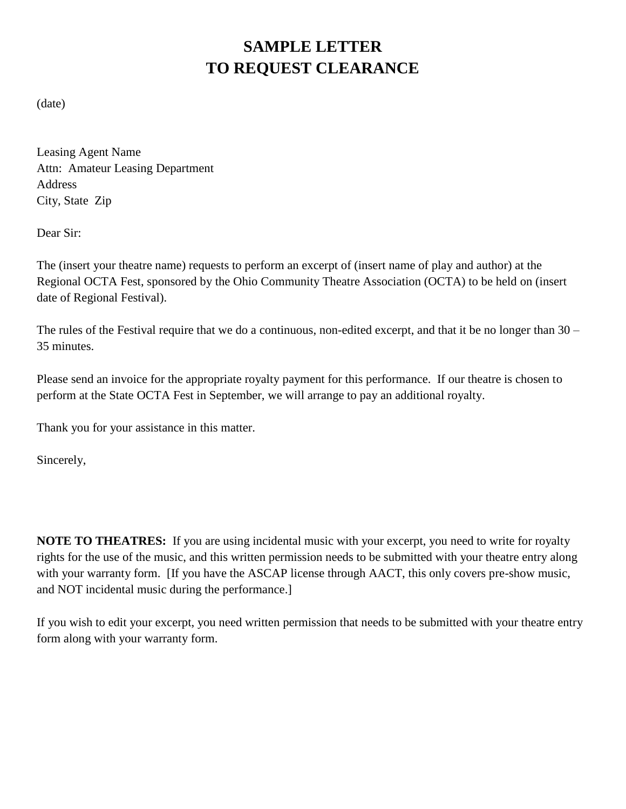# **SAMPLE LETTER TO REQUEST CLEARANCE**

(date)

Leasing Agent Name Attn: Amateur Leasing Department Address City, State Zip

Dear Sir:

The (insert your theatre name) requests to perform an excerpt of (insert name of play and author) at the Regional OCTA Fest, sponsored by the Ohio Community Theatre Association (OCTA) to be held on (insert date of Regional Festival).

The rules of the Festival require that we do a continuous, non-edited excerpt, and that it be no longer than 30 – 35 minutes.

Please send an invoice for the appropriate royalty payment for this performance. If our theatre is chosen to perform at the State OCTA Fest in September, we will arrange to pay an additional royalty.

Thank you for your assistance in this matter.

Sincerely,

**NOTE TO THEATRES:** If you are using incidental music with your excerpt, you need to write for royalty rights for the use of the music, and this written permission needs to be submitted with your theatre entry along with your warranty form. If you have the ASCAP license through AACT, this only covers pre-show music, and NOT incidental music during the performance.]

If you wish to edit your excerpt, you need written permission that needs to be submitted with your theatre entry form along with your warranty form.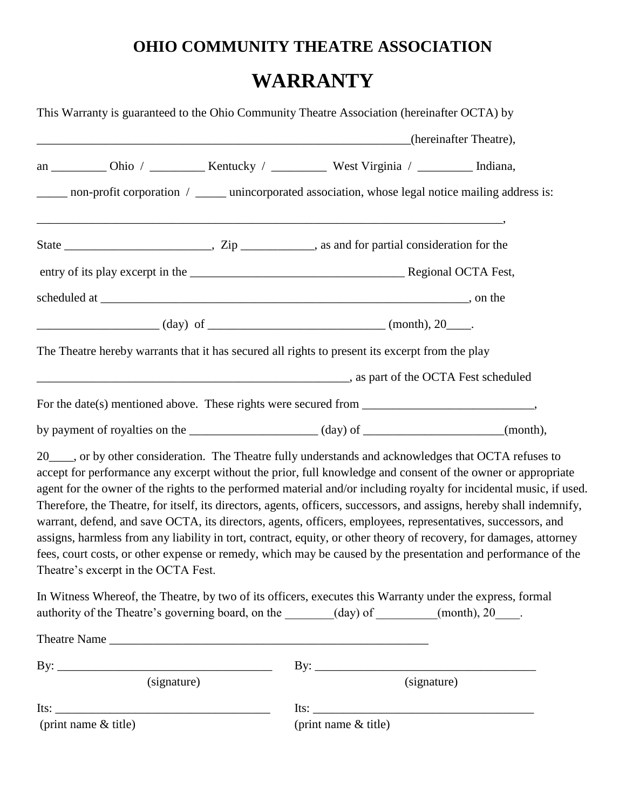# **OHIO COMMUNITY THEATRE ASSOCIATION WARRANTY**

| This Warranty is guaranteed to the Ohio Community Theatre Association (hereinafter OCTA) by                                                                                                                                                                                                                                                                                                                                                                                                                                                                                                                                                                                                                                                                                                                                                                          |                        |  |  |
|----------------------------------------------------------------------------------------------------------------------------------------------------------------------------------------------------------------------------------------------------------------------------------------------------------------------------------------------------------------------------------------------------------------------------------------------------------------------------------------------------------------------------------------------------------------------------------------------------------------------------------------------------------------------------------------------------------------------------------------------------------------------------------------------------------------------------------------------------------------------|------------------------|--|--|
|                                                                                                                                                                                                                                                                                                                                                                                                                                                                                                                                                                                                                                                                                                                                                                                                                                                                      | (hereinafter Theatre), |  |  |
| an ___________ Ohio / ____________ Kentucky / ______________ West Virginia / ___________ Indiana,                                                                                                                                                                                                                                                                                                                                                                                                                                                                                                                                                                                                                                                                                                                                                                    |                        |  |  |
| _____ non-profit corporation / _____ unincorporated association, whose legal notice mailing address is:                                                                                                                                                                                                                                                                                                                                                                                                                                                                                                                                                                                                                                                                                                                                                              |                        |  |  |
|                                                                                                                                                                                                                                                                                                                                                                                                                                                                                                                                                                                                                                                                                                                                                                                                                                                                      |                        |  |  |
|                                                                                                                                                                                                                                                                                                                                                                                                                                                                                                                                                                                                                                                                                                                                                                                                                                                                      |                        |  |  |
|                                                                                                                                                                                                                                                                                                                                                                                                                                                                                                                                                                                                                                                                                                                                                                                                                                                                      |                        |  |  |
|                                                                                                                                                                                                                                                                                                                                                                                                                                                                                                                                                                                                                                                                                                                                                                                                                                                                      |                        |  |  |
| The Theatre hereby warrants that it has secured all rights to present its excerpt from the play                                                                                                                                                                                                                                                                                                                                                                                                                                                                                                                                                                                                                                                                                                                                                                      |                        |  |  |
| as part of the OCTA Fest scheduled                                                                                                                                                                                                                                                                                                                                                                                                                                                                                                                                                                                                                                                                                                                                                                                                                                   |                        |  |  |
|                                                                                                                                                                                                                                                                                                                                                                                                                                                                                                                                                                                                                                                                                                                                                                                                                                                                      |                        |  |  |
| by payment of royalties on the _______________________(day) of _________________(month),                                                                                                                                                                                                                                                                                                                                                                                                                                                                                                                                                                                                                                                                                                                                                                             |                        |  |  |
| 20____, or by other consideration. The Theatre fully understands and acknowledges that OCTA refuses to<br>accept for performance any excerpt without the prior, full knowledge and consent of the owner or appropriate<br>agent for the owner of the rights to the performed material and/or including royalty for incidental music, if used.<br>Therefore, the Theatre, for itself, its directors, agents, officers, successors, and assigns, hereby shall indemnify,<br>warrant, defend, and save OCTA, its directors, agents, officers, employees, representatives, successors, and<br>assigns, harmless from any liability in tort, contract, equity, or other theory of recovery, for damages, attorney<br>fees, court costs, or other expense or remedy, which may be caused by the presentation and performance of the<br>Theatre's excerpt in the OCTA Fest. |                        |  |  |
| In Witness Whereof, the Theatre, by two of its officers, executes this Warranty under the express, formal<br>authority of the Theatre's governing board, on the ______(day) of ______(month), 20___.                                                                                                                                                                                                                                                                                                                                                                                                                                                                                                                                                                                                                                                                 |                        |  |  |
|                                                                                                                                                                                                                                                                                                                                                                                                                                                                                                                                                                                                                                                                                                                                                                                                                                                                      |                        |  |  |
| (signature)                                                                                                                                                                                                                                                                                                                                                                                                                                                                                                                                                                                                                                                                                                                                                                                                                                                          | (signature)            |  |  |
| $Its: ____________$<br>(print name $&$ title)                                                                                                                                                                                                                                                                                                                                                                                                                                                                                                                                                                                                                                                                                                                                                                                                                        | (print name & title)   |  |  |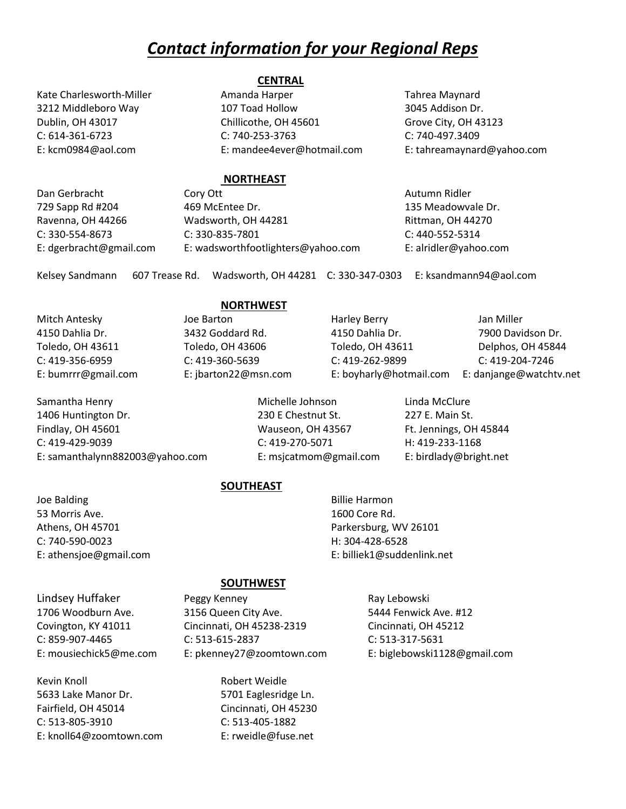### *Contact information for your Regional Reps*

#### **CENTRAL**

Kate Charlesworth-Miller **Amanda Harper** Tahrea Maynard 3212 Middleboro Way 107 Toad Hollow 3045 Addison Dr. Dublin, OH 43017 Chillicothe, OH 45601 Grove City, OH 43123 C: 614-361-6723 C: 740-253-3763 C: 740-497.3409 E: kcm0984@aol.com E: mandee4ever@hotmail.com E: tahreamaynard@yahoo.com

#### **NORTHEAST**

Dan Gerbracht Cory Ott Autumn Ridler 729 Sapp Rd #204 469 McEntee Dr. 135 Meadowvale Dr. Ravenna, OH 44266 **Manual Wadsworth, OH 44281** Rittman, OH 44270 C: 330-554-8673 C: 330-835-7801 C: 440-552-5314 E: dgerbracht@gmail.com E: wadsworthfootlighters@yahoo.com E: alridler@yahoo.com

Kelsey Sandmann 607 Trease Rd. Wadsworth, OH 44281 C: 330-347-0303 E: ksandmann94@aol.com

Samantha Henry **Michelle Johnson** Linda McClure 1406 Huntington Dr. 230 E Chestnut St. 227 E. Main St. Findlay, OH 45601 **Findlay, OH 45601** Wauseon, OH 43567 **Ft. Jennings, OH 45844** C: 419-429-9039 C: 419-270-5071 H: 419-233-1168 E: samanthalynn882003@yahoo.com E: msjcatmom@gmail.com E: birdlady@bright.net

#### **NORTHWEST**

Mitch Antesky **Solution Harley Berry Containers** Jan Miller 4150 Dahlia Dr. 3432 Goddard Rd. 4150 Dahlia Dr. 7900 Davidson Dr. Toledo, OH 43611 Toledo, OH 43606 Toledo, OH 43611 Delphos, OH 45844 C: 419-356-6959 C: 419-360-5639 C: 419-262-9899 C: 419-204-7246 E: bumrrr@gmail.com E: jbarton22@msn.com E: boyharly@hotmail.com E: danjange@watchtv.net

**SOUTHEAST**

Joe Balding **Billie Harmon** 53 Morris Ave. 1600 Core Rd. Athens, OH 45701 **Parkersburg, WV 26101** Parkersburg, WV 26101 C: 740-590-0023 H: 304-428-6528

E: athensjoe@gmail.com E: billiek1@suddenlink.net

#### **SOUTHWEST**

Lindsey Huffaker **Peggy Kenney Ray Lebowski** 

Kevin Knoll **Robert Weidle** 5633 Lake Manor Dr. 5701 Eaglesridge Ln. Fairfield, OH 45014 Cincinnati, OH 45230 C: 513-805-3910 C: 513-405-1882 E: knoll64@zoomtown.com E: rweidle@fuse.net

1706 Woodburn Ave. 3156 Queen City Ave. 5444 Fenwick Ave. #12 Covington, KY 41011 Cincinnati, OH 45238-2319 Cincinnati, OH 45212 C: 859-907-4465 C: 513-615-2837 C: 513-317-5631 E: mousiechick5@me.com E: pkenney27@zoomtown.com E: biglebowski1128@gmail.com